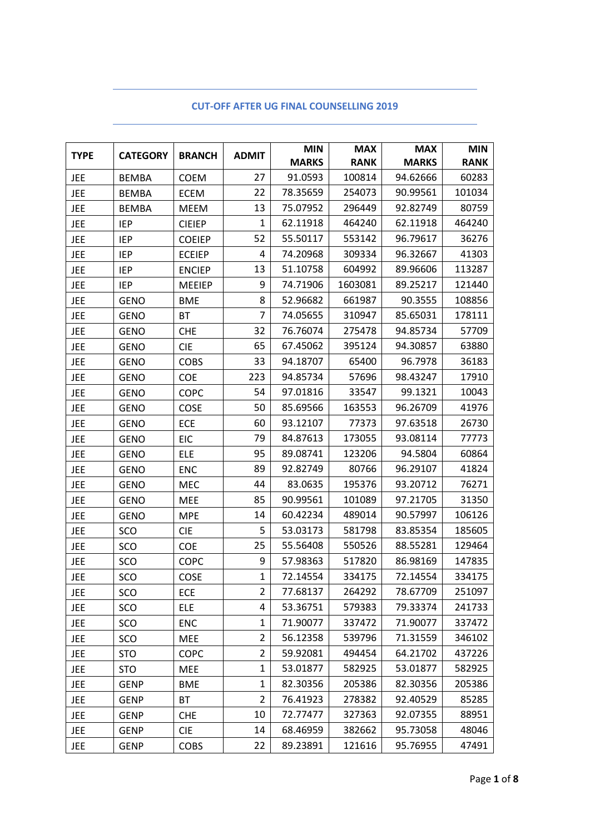| <b>TYPE</b> | <b>CATEGORY</b> | <b>BRANCH</b> | <b>ADMIT</b>   | <b>MIN</b>   | <b>MAX</b>  | <b>MAX</b>   | <b>MIN</b>  |
|-------------|-----------------|---------------|----------------|--------------|-------------|--------------|-------------|
|             |                 |               |                | <b>MARKS</b> | <b>RANK</b> | <b>MARKS</b> | <b>RANK</b> |
| JEE         | <b>BEMBA</b>    | <b>COEM</b>   | 27             | 91.0593      | 100814      | 94.62666     | 60283       |
| <b>JEE</b>  | <b>BEMBA</b>    | <b>ECEM</b>   | 22             | 78.35659     | 254073      | 90.99561     | 101034      |
| <b>JEE</b>  | <b>BEMBA</b>    | MEEM          | 13             | 75.07952     | 296449      | 92.82749     | 80759       |
| <b>JEE</b>  | <b>IEP</b>      | <b>CIEIEP</b> | $\mathbf{1}$   | 62.11918     | 464240      | 62.11918     | 464240      |
| <b>JEE</b>  | <b>IEP</b>      | <b>COEIEP</b> | 52             | 55.50117     | 553142      | 96.79617     | 36276       |
| <b>JEE</b>  | <b>IEP</b>      | <b>ECEIEP</b> | 4              | 74.20968     | 309334      | 96.32667     | 41303       |
| <b>JEE</b>  | <b>IEP</b>      | <b>ENCIEP</b> | 13             | 51.10758     | 604992      | 89.96606     | 113287      |
| <b>JEE</b>  | <b>IEP</b>      | <b>MEEIEP</b> | 9              | 74.71906     | 1603081     | 89.25217     | 121440      |
| <b>JEE</b>  | <b>GENO</b>     | <b>BME</b>    | 8              | 52.96682     | 661987      | 90.3555      | 108856      |
| <b>JEE</b>  | <b>GENO</b>     | <b>BT</b>     | 7              | 74.05655     | 310947      | 85.65031     | 178111      |
| <b>JEE</b>  | <b>GENO</b>     | <b>CHE</b>    | 32             | 76.76074     | 275478      | 94.85734     | 57709       |
| <b>JEE</b>  | GENO            | <b>CIE</b>    | 65             | 67.45062     | 395124      | 94.30857     | 63880       |
| JEE         | <b>GENO</b>     | <b>COBS</b>   | 33             | 94.18707     | 65400       | 96.7978      | 36183       |
| <b>JEE</b>  | <b>GENO</b>     | <b>COE</b>    | 223            | 94.85734     | 57696       | 98.43247     | 17910       |
| <b>JEE</b>  | <b>GENO</b>     | <b>COPC</b>   | 54             | 97.01816     | 33547       | 99.1321      | 10043       |
| JEE         | <b>GENO</b>     | COSE          | 50             | 85.69566     | 163553      | 96.26709     | 41976       |
| <b>JEE</b>  | <b>GENO</b>     | <b>ECE</b>    | 60             | 93.12107     | 77373       | 97.63518     | 26730       |
| <b>JEE</b>  | <b>GENO</b>     | <b>EIC</b>    | 79             | 84.87613     | 173055      | 93.08114     | 77773       |
| JEE         | <b>GENO</b>     | ELE           | 95             | 89.08741     | 123206      | 94.5804      | 60864       |
| <b>JEE</b>  | <b>GENO</b>     | <b>ENC</b>    | 89             | 92.82749     | 80766       | 96.29107     | 41824       |
| JEE         | <b>GENO</b>     | MEC           | 44             | 83.0635      | 195376      | 93.20712     | 76271       |
| <b>JEE</b>  | <b>GENO</b>     | <b>MEE</b>    | 85             | 90.99561     | 101089      | 97.21705     | 31350       |
| <b>JEE</b>  | <b>GENO</b>     | <b>MPE</b>    | 14             | 60.42234     | 489014      | 90.57997     | 106126      |
| <b>JEE</b>  | SCO             | <b>CIE</b>    | 5              | 53.03173     | 581798      | 83.85354     | 185605      |
| JEE         | SCO             | COE           | 25             | 55.56408     | 550526      | 88.55281     | 129464      |
| <b>JEE</b>  | SCO             | <b>COPC</b>   | 9              | 57.98363     | 517820      | 86.98169     | 147835      |
| <b>JEE</b>  | SCO             | COSE          | 1              | 72.14554     | 334175      | 72.14554     | 334175      |
| JEE         | SCO             | ECE           | $\overline{2}$ | 77.68137     | 264292      | 78.67709     | 251097      |
| <b>JEE</b>  | SCO             | <b>ELE</b>    | 4              | 53.36751     | 579383      | 79.33374     | 241733      |
| <b>JEE</b>  | SCO             | <b>ENC</b>    | 1              | 71.90077     | 337472      | 71.90077     | 337472      |
| JEE         | SCO             | MEE           | 2              | 56.12358     | 539796      | 71.31559     | 346102      |
| JEE         | <b>STO</b>      | <b>COPC</b>   | 2              | 59.92081     | 494454      | 64.21702     | 437226      |
| JEE         | <b>STO</b>      | MEE           | 1              | 53.01877     | 582925      | 53.01877     | 582925      |
| JEE         | <b>GENP</b>     | <b>BME</b>    | 1              | 82.30356     | 205386      | 82.30356     | 205386      |
| <b>JEE</b>  | <b>GENP</b>     | <b>BT</b>     | 2              | 76.41923     | 278382      | 92.40529     | 85285       |
| JEE         | GENP            | <b>CHE</b>    | 10             | 72.77477     | 327363      | 92.07355     | 88951       |
| JEE         | <b>GENP</b>     | <b>CIE</b>    | 14             | 68.46959     | 382662      | 95.73058     | 48046       |
| JEE         | <b>GENP</b>     | COBS          | 22             | 89.23891     | 121616      | 95.76955     | 47491       |

## **CUT-OFF AFTER UG FINAL COUNSELLING 2019**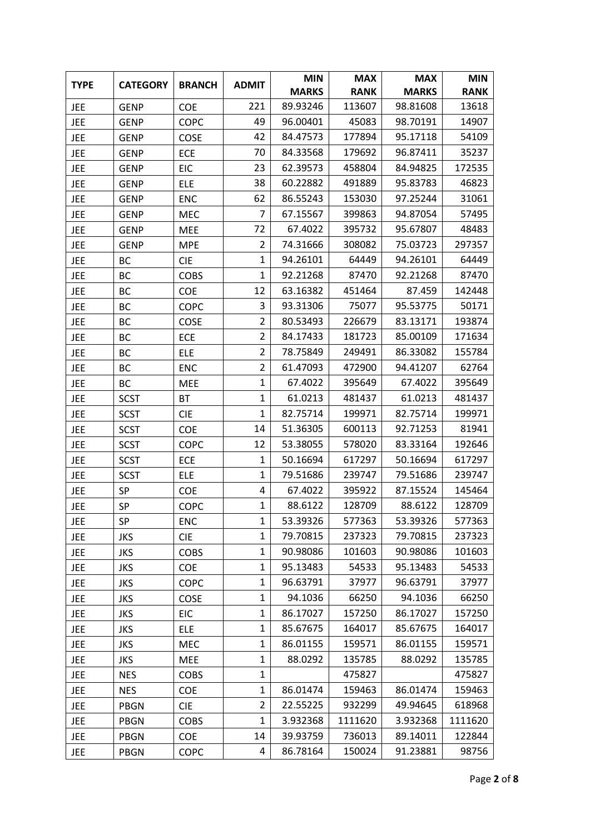| <b>TYPE</b> | <b>CATEGORY</b> | <b>BRANCH</b> | <b>ADMIT</b>   | <b>MIN</b>   | <b>MAX</b>  | <b>MAX</b>   | <b>MIN</b>  |
|-------------|-----------------|---------------|----------------|--------------|-------------|--------------|-------------|
|             |                 |               |                | <b>MARKS</b> | <b>RANK</b> | <b>MARKS</b> | <b>RANK</b> |
| <b>JEE</b>  | <b>GENP</b>     | COE           | 221            | 89.93246     | 113607      | 98.81608     | 13618       |
| <b>JEE</b>  | <b>GENP</b>     | <b>COPC</b>   | 49             | 96.00401     | 45083       | 98.70191     | 14907       |
| <b>JEE</b>  | <b>GENP</b>     | <b>COSE</b>   | 42             | 84.47573     | 177894      | 95.17118     | 54109       |
| <b>JEE</b>  | GENP            | <b>ECE</b>    | 70             | 84.33568     | 179692      | 96.87411     | 35237       |
| <b>JEE</b>  | <b>GENP</b>     | <b>EIC</b>    | 23             | 62.39573     | 458804      | 84.94825     | 172535      |
| <b>JEE</b>  | <b>GENP</b>     | <b>ELE</b>    | 38             | 60.22882     | 491889      | 95.83783     | 46823       |
| <b>JEE</b>  | <b>GENP</b>     | <b>ENC</b>    | 62             | 86.55243     | 153030      | 97.25244     | 31061       |
| <b>JEE</b>  | <b>GENP</b>     | MEC           | 7              | 67.15567     | 399863      | 94.87054     | 57495       |
| <b>JEE</b>  | <b>GENP</b>     | <b>MEE</b>    | 72             | 67.4022      | 395732      | 95.67807     | 48483       |
| <b>JEE</b>  | GENP            | <b>MPE</b>    | $\overline{2}$ | 74.31666     | 308082      | 75.03723     | 297357      |
| <b>JEE</b>  | BC              | <b>CIE</b>    | $\mathbf{1}$   | 94.26101     | 64449       | 94.26101     | 64449       |
| <b>JEE</b>  | BC              | <b>COBS</b>   | 1              | 92.21268     | 87470       | 92.21268     | 87470       |
| JEE         | ВC              | <b>COE</b>    | 12             | 63.16382     | 451464      | 87.459       | 142448      |
| <b>JEE</b>  | BC              | <b>COPC</b>   | 3              | 93.31306     | 75077       | 95.53775     | 50171       |
| JEE         | BC              | COSE          | $\overline{2}$ | 80.53493     | 226679      | 83.13171     | 193874      |
| <b>JEE</b>  | BC              | <b>ECE</b>    | $\overline{2}$ | 84.17433     | 181723      | 85.00109     | 171634      |
| <b>JEE</b>  | BC              | <b>ELE</b>    | $\overline{2}$ | 78.75849     | 249491      | 86.33082     | 155784      |
| <b>JEE</b>  | BC              | <b>ENC</b>    | $\overline{2}$ | 61.47093     | 472900      | 94.41207     | 62764       |
| <b>JEE</b>  | ВC              | MEE           | $\mathbf{1}$   | 67.4022      | 395649      | 67.4022      | 395649      |
| <b>JEE</b>  | <b>SCST</b>     | <b>BT</b>     | $\mathbf 1$    | 61.0213      | 481437      | 61.0213      | 481437      |
| <b>JEE</b>  | <b>SCST</b>     | <b>CIE</b>    | $\mathbf{1}$   | 82.75714     | 199971      | 82.75714     | 199971      |
| <b>JEE</b>  | <b>SCST</b>     | COE           | 14             | 51.36305     | 600113      | 92.71253     | 81941       |
| <b>JEE</b>  | <b>SCST</b>     | <b>COPC</b>   | 12             | 53.38055     | 578020      | 83.33164     | 192646      |
| <b>JEE</b>  | <b>SCST</b>     | <b>ECE</b>    | 1              | 50.16694     | 617297      | 50.16694     | 617297      |
| <b>JEE</b>  | <b>SCST</b>     | <b>ELE</b>    | $\mathbf{1}$   | 79.51686     | 239747      | 79.51686     | 239747      |
| <b>JEE</b>  | SP              | COE           | 4              | 67.4022      | 395922      | 87.15524     | 145464      |
| <b>JEE</b>  | SP              | <b>COPC</b>   | $\mathbf{1}$   | 88.6122      | 128709      | 88.6122      | 128709      |
| <b>JEE</b>  | SP              | <b>ENC</b>    | 1              | 53.39326     | 577363      | 53.39326     | 577363      |
| <b>JEE</b>  | <b>JKS</b>      | <b>CIE</b>    | 1              | 79.70815     | 237323      | 79.70815     | 237323      |
| <b>JEE</b>  | JKS             | <b>COBS</b>   | 1              | 90.98086     | 101603      | 90.98086     | 101603      |
| <b>JEE</b>  | <b>JKS</b>      | <b>COE</b>    | 1              | 95.13483     | 54533       | 95.13483     | 54533       |
| <b>JEE</b>  | JKS             | <b>COPC</b>   | $\mathbf 1$    | 96.63791     | 37977       | 96.63791     | 37977       |
| <b>JEE</b>  | JKS             | <b>COSE</b>   | 1              | 94.1036      | 66250       | 94.1036      | 66250       |
| <b>JEE</b>  | JKS             | <b>EIC</b>    | 1              | 86.17027     | 157250      | 86.17027     | 157250      |
| <b>JEE</b>  | JKS             | <b>ELE</b>    | $\mathbf{1}$   | 85.67675     | 164017      | 85.67675     | 164017      |
| JEE         | JKS             | MEC           | 1              | 86.01155     | 159571      | 86.01155     | 159571      |
| <b>JEE</b>  | <b>JKS</b>      | MEE           | $\mathbf{1}$   | 88.0292      | 135785      | 88.0292      | 135785      |
| <b>JEE</b>  | <b>NES</b>      | <b>COBS</b>   | $\mathbf{1}$   |              | 475827      |              | 475827      |
| <b>JEE</b>  | <b>NES</b>      | <b>COE</b>    | 1              | 86.01474     | 159463      | 86.01474     | 159463      |
| JEE         | PBGN            | <b>CIE</b>    | 2              | 22.55225     | 932299      | 49.94645     | 618968      |
| <b>JEE</b>  | <b>PBGN</b>     | <b>COBS</b>   | 1              | 3.932368     | 1111620     | 3.932368     | 1111620     |
| JEE         | <b>PBGN</b>     | <b>COE</b>    | 14             | 39.93759     | 736013      | 89.14011     | 122844      |
| JEE         | <b>PBGN</b>     | <b>COPC</b>   | 4              | 86.78164     | 150024      | 91.23881     | 98756       |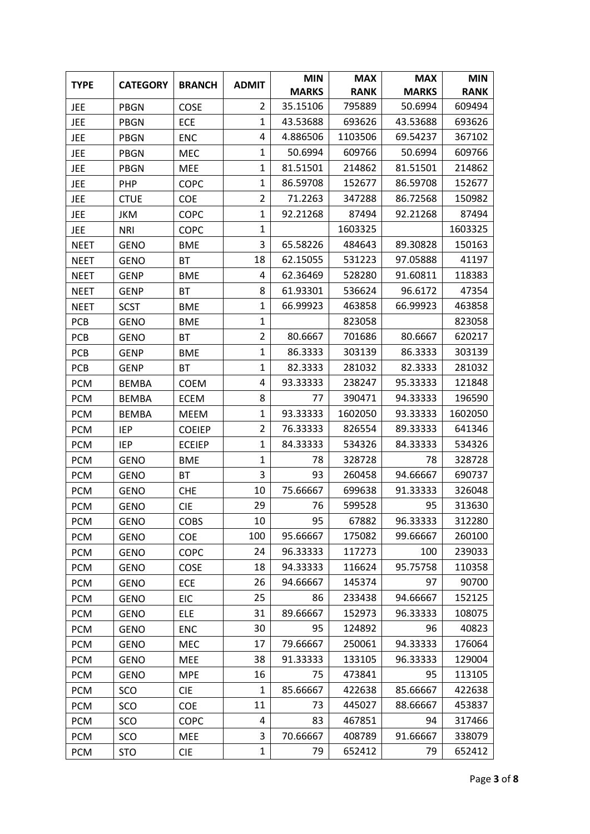| <b>TYPE</b> | <b>CATEGORY</b> | <b>BRANCH</b> | <b>ADMIT</b>   | <b>MIN</b>   | <b>MAX</b>  | <b>MAX</b>   | <b>MIN</b>  |
|-------------|-----------------|---------------|----------------|--------------|-------------|--------------|-------------|
|             |                 |               |                | <b>MARKS</b> | <b>RANK</b> | <b>MARKS</b> | <b>RANK</b> |
| <b>JEE</b>  | <b>PBGN</b>     | COSE          | $\overline{2}$ | 35.15106     | 795889      | 50.6994      | 609494      |
| <b>JEE</b>  | <b>PBGN</b>     | <b>ECE</b>    | $\mathbf{1}$   | 43.53688     | 693626      | 43.53688     | 693626      |
| <b>JEE</b>  | <b>PBGN</b>     | <b>ENC</b>    | 4              | 4.886506     | 1103506     | 69.54237     | 367102      |
| <b>JEE</b>  | <b>PBGN</b>     | <b>MEC</b>    | 1              | 50.6994      | 609766      | 50.6994      | 609766      |
| <b>JEE</b>  | <b>PBGN</b>     | <b>MEE</b>    | $\mathbf{1}$   | 81.51501     | 214862      | 81.51501     | 214862      |
| <b>JEE</b>  | PHP             | <b>COPC</b>   | $\mathbf{1}$   | 86.59708     | 152677      | 86.59708     | 152677      |
| <b>JEE</b>  | <b>CTUE</b>     | COE           | $\overline{2}$ | 71.2263      | 347288      | 86.72568     | 150982      |
| JEE         | <b>JKM</b>      | <b>COPC</b>   | $\mathbf{1}$   | 92.21268     | 87494       | 92.21268     | 87494       |
| <b>JEE</b>  | <b>NRI</b>      | <b>COPC</b>   | $\mathbf{1}$   |              | 1603325     |              | 1603325     |
| <b>NEET</b> | <b>GENO</b>     | <b>BME</b>    | 3              | 65.58226     | 484643      | 89.30828     | 150163      |
| <b>NEET</b> | <b>GENO</b>     | <b>BT</b>     | 18             | 62.15055     | 531223      | 97.05888     | 41197       |
| <b>NEET</b> | <b>GENP</b>     | <b>BME</b>    | 4              | 62.36469     | 528280      | 91.60811     | 118383      |
| <b>NEET</b> | <b>GENP</b>     | <b>BT</b>     | 8              | 61.93301     | 536624      | 96.6172      | 47354       |
| <b>NEET</b> | <b>SCST</b>     | <b>BME</b>    | $\mathbf{1}$   | 66.99923     | 463858      | 66.99923     | 463858      |
| <b>PCB</b>  | <b>GENO</b>     | <b>BME</b>    | $\mathbf 1$    |              | 823058      |              | 823058      |
| <b>PCB</b>  | <b>GENO</b>     | <b>BT</b>     | 2              | 80.6667      | 701686      | 80.6667      | 620217      |
| <b>PCB</b>  | <b>GENP</b>     | <b>BME</b>    | $\mathbf{1}$   | 86.3333      | 303139      | 86.3333      | 303139      |
| <b>PCB</b>  | <b>GENP</b>     | <b>BT</b>     | $\mathbf{1}$   | 82.3333      | 281032      | 82.3333      | 281032      |
| <b>PCM</b>  | <b>BEMBA</b>    | <b>COEM</b>   | 4              | 93.33333     | 238247      | 95.33333     | 121848      |
| <b>PCM</b>  | <b>BEMBA</b>    | <b>ECEM</b>   | 8              | 77           | 390471      | 94.33333     | 196590      |
| <b>PCM</b>  | <b>BEMBA</b>    | <b>MEEM</b>   | $\mathbf{1}$   | 93.33333     | 1602050     | 93.33333     | 1602050     |
| <b>PCM</b>  | <b>IEP</b>      | <b>COEIEP</b> | $\overline{2}$ | 76.33333     | 826554      | 89.33333     | 641346      |
| <b>PCM</b>  | <b>IEP</b>      | <b>ECEIEP</b> | $\mathbf{1}$   | 84.33333     | 534326      | 84.33333     | 534326      |
| <b>PCM</b>  | <b>GENO</b>     | <b>BME</b>    | $\mathbf{1}$   | 78           | 328728      | 78           | 328728      |
| <b>PCM</b>  | <b>GENO</b>     | <b>BT</b>     | 3              | 93           | 260458      | 94.66667     | 690737      |
| <b>PCM</b>  | <b>GENO</b>     | <b>CHE</b>    | 10             | 75.66667     | 699638      | 91.33333     | 326048      |
| <b>PCM</b>  | GENO            | <b>CIE</b>    | 29             | 76           | 599528      | 95           | 313630      |
| <b>PCM</b>  | <b>GENO</b>     | <b>COBS</b>   | 10             | 95           | 67882       | 96.33333     | 312280      |
| <b>PCM</b>  | <b>GENO</b>     | COE           | 100            | 95.66667     | 175082      | 99.66667     | 260100      |
| <b>PCM</b>  | <b>GENO</b>     | <b>COPC</b>   | 24             | 96.33333     | 117273      | 100          | 239033      |
| <b>PCM</b>  | <b>GENO</b>     | <b>COSE</b>   | 18             | 94.33333     | 116624      | 95.75758     | 110358      |
| <b>PCM</b>  | <b>GENO</b>     | <b>ECE</b>    | 26             | 94.66667     | 145374      | 97           | 90700       |
| <b>PCM</b>  | <b>GENO</b>     | <b>EIC</b>    | 25             | 86           | 233438      | 94.66667     | 152125      |
| <b>PCM</b>  | <b>GENO</b>     | <b>ELE</b>    | 31             | 89.66667     | 152973      | 96.33333     | 108075      |
| <b>PCM</b>  | <b>GENO</b>     | <b>ENC</b>    | 30             | 95           | 124892      | 96           | 40823       |
| <b>PCM</b>  | <b>GENO</b>     | <b>MEC</b>    | 17             | 79.66667     | 250061      | 94.33333     | 176064      |
| <b>PCM</b>  | <b>GENO</b>     | MEE           | 38             | 91.33333     | 133105      | 96.33333     | 129004      |
| <b>PCM</b>  | <b>GENO</b>     | <b>MPE</b>    | 16             | 75           | 473841      | 95           | 113105      |
| <b>PCM</b>  | SCO             | <b>CIE</b>    | $\mathbf{1}$   | 85.66667     | 422638      | 85.66667     | 422638      |
| <b>PCM</b>  | SCO             | COE           | 11             | 73           | 445027      | 88.66667     | 453837      |
| <b>PCM</b>  | SCO             | <b>COPC</b>   | 4              | 83           | 467851      | 94           | 317466      |
| <b>PCM</b>  | SCO             | <b>MEE</b>    | 3              | 70.66667     | 408789      | 91.66667     | 338079      |
| <b>PCM</b>  | <b>STO</b>      | <b>CIE</b>    | $\mathbf{1}$   | 79           | 652412      | 79           | 652412      |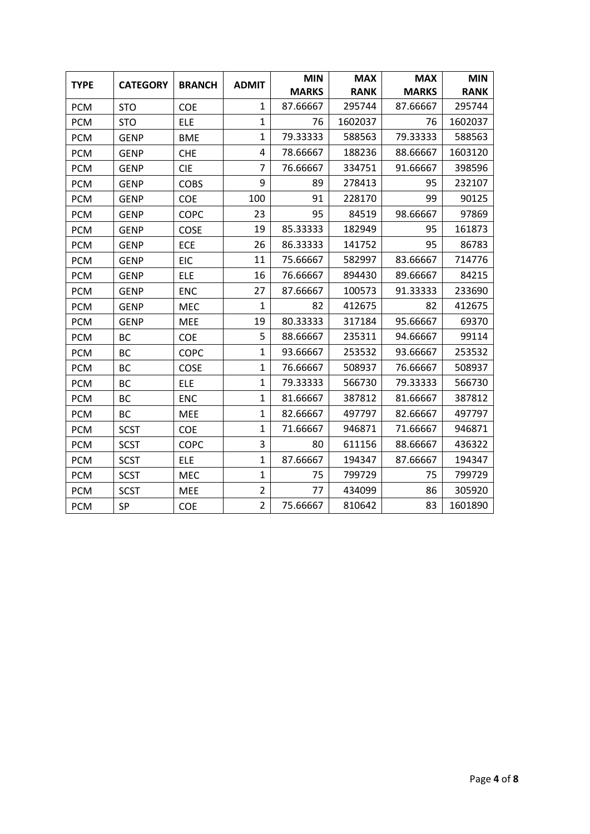| <b>TYPE</b> | <b>CATEGORY</b> | <b>BRANCH</b> | <b>ADMIT</b>   | <b>MIN</b>   | <b>MAX</b>  | <b>MAX</b>   | <b>MIN</b>  |
|-------------|-----------------|---------------|----------------|--------------|-------------|--------------|-------------|
|             |                 |               |                | <b>MARKS</b> | <b>RANK</b> | <b>MARKS</b> | <b>RANK</b> |
| <b>PCM</b>  | <b>STO</b>      | <b>COE</b>    | $\mathbf{1}$   | 87.66667     | 295744      | 87.66667     | 295744      |
| <b>PCM</b>  | <b>STO</b>      | <b>ELE</b>    | $\mathbf{1}$   | 76           | 1602037     | 76           | 1602037     |
| <b>PCM</b>  | <b>GENP</b>     | <b>BME</b>    | $\mathbf{1}$   | 79.33333     | 588563      | 79.33333     | 588563      |
| <b>PCM</b>  | <b>GENP</b>     | <b>CHE</b>    | 4              | 78.66667     | 188236      | 88.66667     | 1603120     |
| <b>PCM</b>  | <b>GENP</b>     | <b>CIE</b>    | $\overline{7}$ | 76.66667     | 334751      | 91.66667     | 398596      |
| <b>PCM</b>  | <b>GENP</b>     | <b>COBS</b>   | 9              | 89           | 278413      | 95           | 232107      |
| <b>PCM</b>  | <b>GENP</b>     | COE           | 100            | 91           | 228170      | 99           | 90125       |
| <b>PCM</b>  | <b>GENP</b>     | <b>COPC</b>   | 23             | 95           | 84519       | 98.66667     | 97869       |
| <b>PCM</b>  | <b>GENP</b>     | COSE          | 19             | 85.33333     | 182949      | 95           | 161873      |
| <b>PCM</b>  | <b>GENP</b>     | <b>ECE</b>    | 26             | 86.33333     | 141752      | 95           | 86783       |
| <b>PCM</b>  | <b>GENP</b>     | <b>EIC</b>    | 11             | 75.66667     | 582997      | 83.66667     | 714776      |
| <b>PCM</b>  | <b>GENP</b>     | <b>ELE</b>    | 16             | 76.66667     | 894430      | 89.66667     | 84215       |
| <b>PCM</b>  | <b>GENP</b>     | <b>ENC</b>    | 27             | 87.66667     | 100573      | 91.33333     | 233690      |
| <b>PCM</b>  | <b>GENP</b>     | MEC           | $\mathbf{1}$   | 82           | 412675      | 82           | 412675      |
| <b>PCM</b>  | <b>GENP</b>     | <b>MEE</b>    | 19             | 80.33333     | 317184      | 95.66667     | 69370       |
| <b>PCM</b>  | <b>BC</b>       | <b>COE</b>    | 5              | 88.66667     | 235311      | 94.66667     | 99114       |
| <b>PCM</b>  | <b>BC</b>       | <b>COPC</b>   | $\mathbf{1}$   | 93.66667     | 253532      | 93.66667     | 253532      |
| <b>PCM</b>  | BC              | COSE          | $\mathbf{1}$   | 76.66667     | 508937      | 76.66667     | 508937      |
| <b>PCM</b>  | <b>BC</b>       | <b>ELE</b>    | $\mathbf{1}$   | 79.33333     | 566730      | 79.33333     | 566730      |
| <b>PCM</b>  | BC              | <b>ENC</b>    | $\mathbf{1}$   | 81.66667     | 387812      | 81.66667     | 387812      |
| <b>PCM</b>  | BC              | <b>MEE</b>    | $\mathbf 1$    | 82.66667     | 497797      | 82.66667     | 497797      |
| <b>PCM</b>  | <b>SCST</b>     | COE           | $\mathbf{1}$   | 71.66667     | 946871      | 71.66667     | 946871      |
| <b>PCM</b>  | <b>SCST</b>     | <b>COPC</b>   | 3              | 80           | 611156      | 88.66667     | 436322      |
| <b>PCM</b>  | <b>SCST</b>     | <b>ELE</b>    | $\mathbf{1}$   | 87.66667     | 194347      | 87.66667     | 194347      |
| <b>PCM</b>  | <b>SCST</b>     | MEC           | $\mathbf{1}$   | 75           | 799729      | 75           | 799729      |
| <b>PCM</b>  | <b>SCST</b>     | MEE           | $\overline{2}$ | 77           | 434099      | 86           | 305920      |
| <b>PCM</b>  | SP              | COE           | $\overline{2}$ | 75.66667     | 810642      | 83           | 1601890     |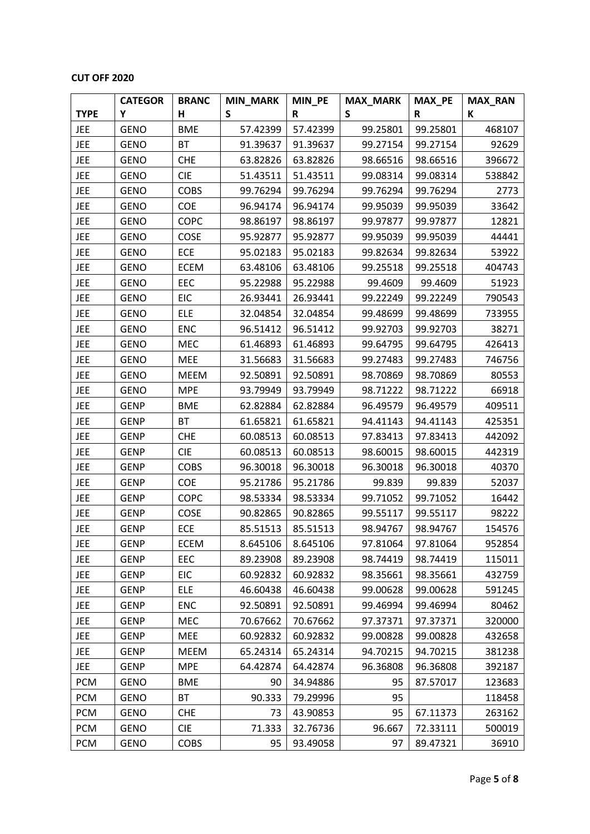## **CUT OFF 2020**

|             | <b>CATEGOR</b> | <b>BRANC</b> | <b>MIN_MARK</b> | MIN_PE   | <b>MAX_MARK</b> | <b>MAX_PE</b> | <b>MAX_RAN</b> |
|-------------|----------------|--------------|-----------------|----------|-----------------|---------------|----------------|
| <b>TYPE</b> | Υ              | н            | S               | R        | S               | R             | К              |
| <b>JEE</b>  | <b>GENO</b>    | <b>BME</b>   | 57.42399        | 57.42399 | 99.25801        | 99.25801      | 468107         |
| <b>JEE</b>  | <b>GENO</b>    | BT           | 91.39637        | 91.39637 | 99.27154        | 99.27154      | 92629          |
| <b>JEE</b>  | <b>GENO</b>    | <b>CHE</b>   | 63.82826        | 63.82826 | 98.66516        | 98.66516      | 396672         |
| JEE         | <b>GENO</b>    | <b>CIE</b>   | 51.43511        | 51.43511 | 99.08314        | 99.08314      | 538842         |
| <b>JEE</b>  | <b>GENO</b>    | <b>COBS</b>  | 99.76294        | 99.76294 | 99.76294        | 99.76294      | 2773           |
| <b>JEE</b>  | <b>GENO</b>    | <b>COE</b>   | 96.94174        | 96.94174 | 99.95039        | 99.95039      | 33642          |
| <b>JEE</b>  | <b>GENO</b>    | COPC         | 98.86197        | 98.86197 | 99.97877        | 99.97877      | 12821          |
| <b>JEE</b>  | <b>GENO</b>    | COSE         | 95.92877        | 95.92877 | 99.95039        | 99.95039      | 44441          |
| <b>JEE</b>  | <b>GENO</b>    | ECE          | 95.02183        | 95.02183 | 99.82634        | 99.82634      | 53922          |
| <b>JEE</b>  | <b>GENO</b>    | <b>ECEM</b>  | 63.48106        | 63.48106 | 99.25518        | 99.25518      | 404743         |
| <b>JEE</b>  | <b>GENO</b>    | EEC          | 95.22988        | 95.22988 | 99.4609         | 99.4609       | 51923          |
| <b>JEE</b>  | <b>GENO</b>    | <b>EIC</b>   | 26.93441        | 26.93441 | 99.22249        | 99.22249      | 790543         |
| <b>JEE</b>  | <b>GENO</b>    | <b>ELE</b>   | 32.04854        | 32.04854 | 99.48699        | 99.48699      | 733955         |
| <b>JEE</b>  | <b>GENO</b>    | <b>ENC</b>   | 96.51412        | 96.51412 | 99.92703        | 99.92703      | 38271          |
| <b>JEE</b>  | <b>GENO</b>    | MEC          | 61.46893        | 61.46893 | 99.64795        | 99.64795      | 426413         |
| <b>JEE</b>  | <b>GENO</b>    | MEE          | 31.56683        | 31.56683 | 99.27483        | 99.27483      | 746756         |
| <b>JEE</b>  | <b>GENO</b>    | <b>MEEM</b>  | 92.50891        | 92.50891 | 98.70869        | 98.70869      | 80553          |
| <b>JEE</b>  | <b>GENO</b>    | <b>MPE</b>   | 93.79949        | 93.79949 | 98.71222        | 98.71222      | 66918          |
| <b>JEE</b>  | <b>GENP</b>    | <b>BME</b>   | 62.82884        | 62.82884 | 96.49579        | 96.49579      | 409511         |
| <b>JEE</b>  | <b>GENP</b>    | BT           | 61.65821        | 61.65821 | 94.41143        | 94.41143      | 425351         |
| <b>JEE</b>  | <b>GENP</b>    | <b>CHE</b>   | 60.08513        | 60.08513 | 97.83413        | 97.83413      | 442092         |
| <b>JEE</b>  | <b>GENP</b>    | <b>CIE</b>   | 60.08513        | 60.08513 | 98.60015        | 98.60015      | 442319         |
| <b>JEE</b>  | <b>GENP</b>    | <b>COBS</b>  | 96.30018        | 96.30018 | 96.30018        | 96.30018      | 40370          |
| <b>JEE</b>  | <b>GENP</b>    | COE          | 95.21786        | 95.21786 | 99.839          | 99.839        | 52037          |
| <b>JEE</b>  | <b>GENP</b>    | <b>COPC</b>  | 98.53334        | 98.53334 | 99.71052        | 99.71052      | 16442          |
| <b>JEE</b>  | <b>GENP</b>    | COSE         | 90.82865        | 90.82865 | 99.55117        | 99.55117      | 98222          |
| JEE         | <b>GENP</b>    | ECE          | 85.51513        | 85.51513 | 98.94767        | 98.94767      | 154576         |
| <b>JEE</b>  | <b>GENP</b>    | <b>ECEM</b>  | 8.645106        | 8.645106 | 97.81064        | 97.81064      | 952854         |
| <b>JEE</b>  | <b>GENP</b>    | EEC          | 89.23908        | 89.23908 | 98.74419        | 98.74419      | 115011         |
| <b>JEE</b>  | <b>GENP</b>    | <b>EIC</b>   | 60.92832        | 60.92832 | 98.35661        | 98.35661      | 432759         |
| <b>JEE</b>  | <b>GENP</b>    | <b>ELE</b>   | 46.60438        | 46.60438 | 99.00628        | 99.00628      | 591245         |
| <b>JEE</b>  | <b>GENP</b>    | <b>ENC</b>   | 92.50891        | 92.50891 | 99.46994        | 99.46994      | 80462          |
| <b>JEE</b>  | <b>GENP</b>    | <b>MEC</b>   | 70.67662        | 70.67662 | 97.37371        | 97.37371      | 320000         |
| <b>JEE</b>  | <b>GENP</b>    | <b>MEE</b>   | 60.92832        | 60.92832 | 99.00828        | 99.00828      | 432658         |
| <b>JEE</b>  | <b>GENP</b>    | <b>MEEM</b>  | 65.24314        | 65.24314 | 94.70215        | 94.70215      | 381238         |
| <b>JEE</b>  | <b>GENP</b>    | <b>MPE</b>   | 64.42874        | 64.42874 | 96.36808        | 96.36808      | 392187         |
| <b>PCM</b>  | <b>GENO</b>    | <b>BME</b>   | 90              | 34.94886 | 95              | 87.57017      | 123683         |
| <b>PCM</b>  | <b>GENO</b>    | BT           | 90.333          | 79.29996 | 95              |               | 118458         |
| <b>PCM</b>  | <b>GENO</b>    | <b>CHE</b>   | 73              | 43.90853 | 95              | 67.11373      | 263162         |
| <b>PCM</b>  | <b>GENO</b>    | <b>CIE</b>   | 71.333          | 32.76736 | 96.667          | 72.33111      | 500019         |
| <b>PCM</b>  | <b>GENO</b>    | COBS         | 95              | 93.49058 | 97              | 89.47321      | 36910          |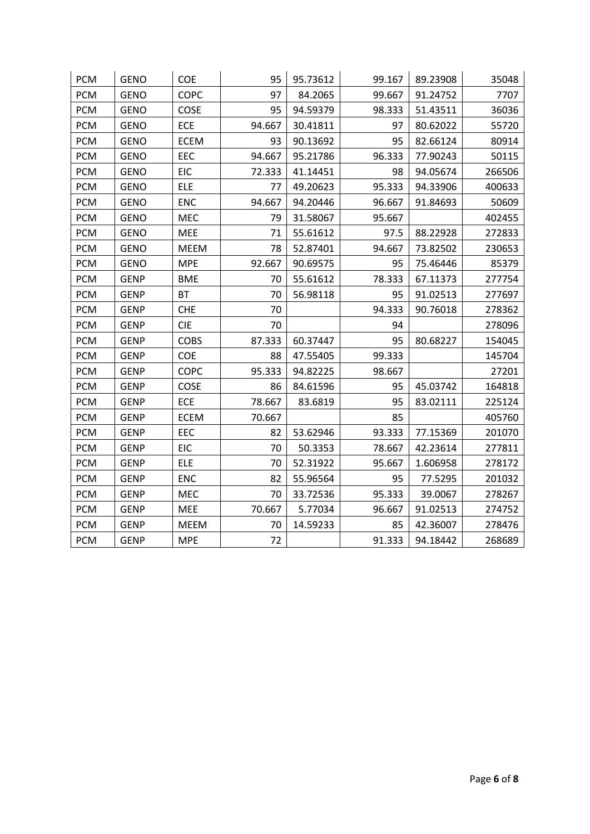| <b>PCM</b> | <b>GENO</b> | COE         | 95     | 95.73612 | 99.167 | 89.23908 | 35048  |
|------------|-------------|-------------|--------|----------|--------|----------|--------|
| <b>PCM</b> | <b>GENO</b> | <b>COPC</b> | 97     | 84.2065  | 99.667 | 91.24752 | 7707   |
| <b>PCM</b> | <b>GENO</b> | COSE        | 95     | 94.59379 | 98.333 | 51.43511 | 36036  |
| <b>PCM</b> | <b>GENO</b> | ECE         | 94.667 | 30.41811 | 97     | 80.62022 | 55720  |
| <b>PCM</b> | <b>GENO</b> | <b>ECEM</b> | 93     | 90.13692 | 95     | 82.66124 | 80914  |
| <b>PCM</b> | <b>GENO</b> | EEC         | 94.667 | 95.21786 | 96.333 | 77.90243 | 50115  |
| <b>PCM</b> | <b>GENO</b> | <b>EIC</b>  | 72.333 | 41.14451 | 98     | 94.05674 | 266506 |
| <b>PCM</b> | <b>GENO</b> | <b>ELE</b>  | 77     | 49.20623 | 95.333 | 94.33906 | 400633 |
| <b>PCM</b> | <b>GENO</b> | <b>ENC</b>  | 94.667 | 94.20446 | 96.667 | 91.84693 | 50609  |
| <b>PCM</b> | <b>GENO</b> | MEC         | 79     | 31.58067 | 95.667 |          | 402455 |
| <b>PCM</b> | GENO        | MEE         | 71     | 55.61612 | 97.5   | 88.22928 | 272833 |
| <b>PCM</b> | <b>GENO</b> | <b>MEEM</b> | 78     | 52.87401 | 94.667 | 73.82502 | 230653 |
| <b>PCM</b> | <b>GENO</b> | <b>MPE</b>  | 92.667 | 90.69575 | 95     | 75.46446 | 85379  |
| <b>PCM</b> | <b>GENP</b> | <b>BME</b>  | 70     | 55.61612 | 78.333 | 67.11373 | 277754 |
| <b>PCM</b> | <b>GENP</b> | <b>BT</b>   | 70     | 56.98118 | 95     | 91.02513 | 277697 |
| <b>PCM</b> | <b>GENP</b> | <b>CHE</b>  | 70     |          | 94.333 | 90.76018 | 278362 |
| <b>PCM</b> | <b>GENP</b> | <b>CIE</b>  | 70     |          | 94     |          | 278096 |
| <b>PCM</b> | <b>GENP</b> | <b>COBS</b> | 87.333 | 60.37447 | 95     | 80.68227 | 154045 |
| <b>PCM</b> | <b>GENP</b> | COE         | 88     | 47.55405 | 99.333 |          | 145704 |
| <b>PCM</b> | <b>GENP</b> | <b>COPC</b> | 95.333 | 94.82225 | 98.667 |          | 27201  |
| <b>PCM</b> | <b>GENP</b> | COSE        | 86     | 84.61596 | 95     | 45.03742 | 164818 |
| <b>PCM</b> | <b>GENP</b> | ECE         | 78.667 | 83.6819  | 95     | 83.02111 | 225124 |
| <b>PCM</b> | <b>GENP</b> | <b>ECEM</b> | 70.667 |          | 85     |          | 405760 |
| <b>PCM</b> | <b>GENP</b> | EEC         | 82     | 53.62946 | 93.333 | 77.15369 | 201070 |
| <b>PCM</b> | <b>GENP</b> | <b>EIC</b>  | 70     | 50.3353  | 78.667 | 42.23614 | 277811 |
| <b>PCM</b> | <b>GENP</b> | <b>ELE</b>  | 70     | 52.31922 | 95.667 | 1.606958 | 278172 |
| <b>PCM</b> | <b>GENP</b> | <b>ENC</b>  | 82     | 55.96564 | 95     | 77.5295  | 201032 |
| <b>PCM</b> | <b>GENP</b> | MEC         | 70     | 33.72536 | 95.333 | 39.0067  | 278267 |
| <b>PCM</b> | <b>GENP</b> | MEE         | 70.667 | 5.77034  | 96.667 | 91.02513 | 274752 |
| <b>PCM</b> | <b>GENP</b> | MEEM        | 70     | 14.59233 | 85     | 42.36007 | 278476 |
| <b>PCM</b> | <b>GENP</b> | <b>MPE</b>  | 72     |          | 91.333 | 94.18442 | 268689 |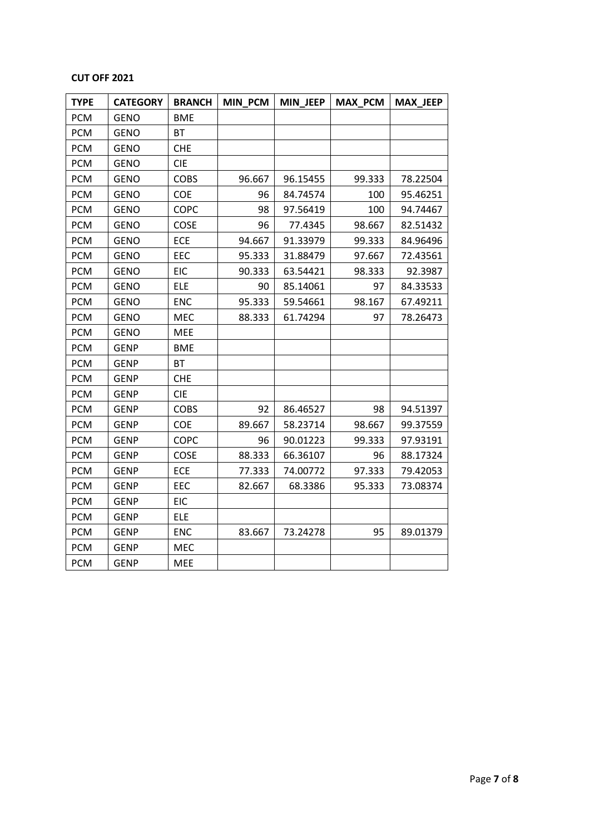## **CUT OFF 2021**

| <b>TYPE</b> | <b>CATEGORY</b> | <b>BRANCH</b> | <b>MIN PCM</b> | <b>MIN JEEP</b> | <b>MAX PCM</b> | <b>MAX_JEEP</b> |
|-------------|-----------------|---------------|----------------|-----------------|----------------|-----------------|
| <b>PCM</b>  | <b>GENO</b>     | <b>BME</b>    |                |                 |                |                 |
| <b>PCM</b>  | <b>GENO</b>     | <b>BT</b>     |                |                 |                |                 |
| <b>PCM</b>  | <b>GENO</b>     | <b>CHE</b>    |                |                 |                |                 |
| <b>PCM</b>  | GENO            | <b>CIE</b>    |                |                 |                |                 |
| <b>PCM</b>  | <b>GENO</b>     | <b>COBS</b>   | 96.667         | 96.15455        | 99.333         | 78.22504        |
| <b>PCM</b>  | <b>GENO</b>     | COE           | 96             | 84.74574        | 100            | 95.46251        |
| <b>PCM</b>  | <b>GENO</b>     | <b>COPC</b>   | 98             | 97.56419        | 100            | 94.74467        |
| <b>PCM</b>  | <b>GENO</b>     | COSE          | 96             | 77.4345         | 98.667         | 82.51432        |
| <b>PCM</b>  | <b>GENO</b>     | <b>ECE</b>    | 94.667         | 91.33979        | 99.333         | 84.96496        |
| <b>PCM</b>  | <b>GENO</b>     | EEC           | 95.333         | 31.88479        | 97.667         | 72.43561        |
| <b>PCM</b>  | <b>GENO</b>     | EIC           | 90.333         | 63.54421        | 98.333         | 92.3987         |
| <b>PCM</b>  | <b>GENO</b>     | <b>ELE</b>    | 90             | 85.14061        | 97             | 84.33533        |
| <b>PCM</b>  | <b>GENO</b>     | <b>ENC</b>    | 95.333         | 59.54661        | 98.167         | 67.49211        |
| <b>PCM</b>  | <b>GENO</b>     | <b>MEC</b>    | 88.333         | 61.74294        | 97             | 78.26473        |
| <b>PCM</b>  | <b>GENO</b>     | MEE           |                |                 |                |                 |
| <b>PCM</b>  | <b>GENP</b>     | <b>BME</b>    |                |                 |                |                 |
| <b>PCM</b>  | <b>GENP</b>     | <b>BT</b>     |                |                 |                |                 |
| <b>PCM</b>  | <b>GENP</b>     | <b>CHE</b>    |                |                 |                |                 |
| <b>PCM</b>  | <b>GENP</b>     | <b>CIE</b>    |                |                 |                |                 |
| <b>PCM</b>  | <b>GENP</b>     | <b>COBS</b>   | 92             | 86.46527        | 98             | 94.51397        |
| <b>PCM</b>  | <b>GENP</b>     | <b>COE</b>    | 89.667         | 58.23714        | 98.667         | 99.37559        |
| <b>PCM</b>  | <b>GENP</b>     | <b>COPC</b>   | 96             | 90.01223        | 99.333         | 97.93191        |
| <b>PCM</b>  | <b>GENP</b>     | <b>COSE</b>   | 88.333         | 66.36107        | 96             | 88.17324        |
| <b>PCM</b>  | GENP            | <b>ECE</b>    | 77.333         | 74.00772        | 97.333         | 79.42053        |
| <b>PCM</b>  | <b>GENP</b>     | EEC           | 82.667         | 68.3386         | 95.333         | 73.08374        |
| <b>PCM</b>  | <b>GENP</b>     | EIC           |                |                 |                |                 |
| <b>PCM</b>  | <b>GENP</b>     | <b>ELE</b>    |                |                 |                |                 |
| <b>PCM</b>  | <b>GENP</b>     | <b>ENC</b>    | 83.667         | 73.24278        | 95             | 89.01379        |
| <b>PCM</b>  | <b>GENP</b>     | <b>MEC</b>    |                |                 |                |                 |
| <b>PCM</b>  | <b>GENP</b>     | <b>MEE</b>    |                |                 |                |                 |